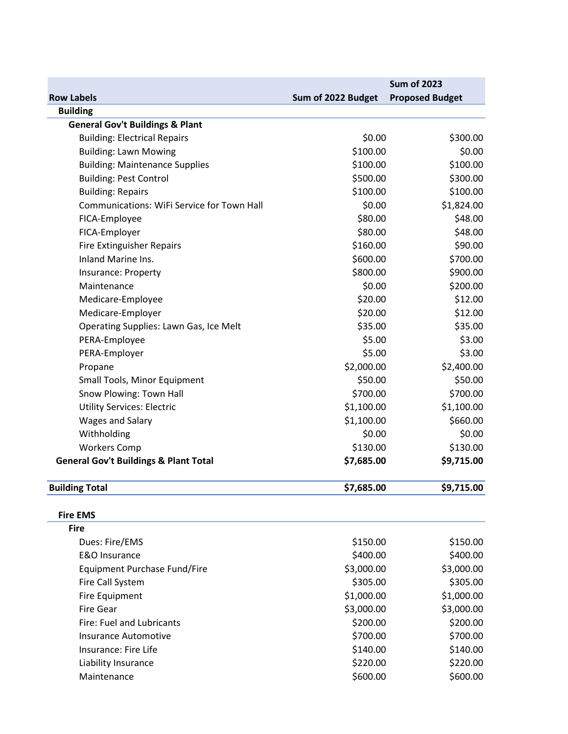|                                                   |                    | <b>Sum of 2023</b>     |  |
|---------------------------------------------------|--------------------|------------------------|--|
| <b>Row Labels</b>                                 | Sum of 2022 Budget | <b>Proposed Budget</b> |  |
| <b>Building</b>                                   |                    |                        |  |
| <b>General Gov't Buildings &amp; Plant</b>        |                    |                        |  |
| <b>Building: Electrical Repairs</b>               | \$0.00             | \$300.00               |  |
| <b>Building: Lawn Mowing</b>                      | \$100.00           | \$0.00                 |  |
| <b>Building: Maintenance Supplies</b>             | \$100.00           | \$100.00               |  |
| <b>Building: Pest Control</b>                     | \$500.00           | \$300.00               |  |
| <b>Building: Repairs</b>                          | \$100.00           | \$100.00               |  |
| <b>Communications: WiFi Service for Town Hall</b> | \$0.00             | \$1,824.00             |  |
| FICA-Employee                                     | \$80.00            | \$48.00                |  |
| FICA-Employer                                     | \$80.00            | \$48.00                |  |
| Fire Extinguisher Repairs                         | \$160.00           | \$90.00                |  |
| Inland Marine Ins.                                | \$600.00           | \$700.00               |  |
| Insurance: Property                               | \$800.00           | \$900.00               |  |
| Maintenance                                       | \$0.00             | \$200.00               |  |
| Medicare-Employee                                 | \$20.00            | \$12.00                |  |
| Medicare-Employer                                 | \$20.00            | \$12.00                |  |
| Operating Supplies: Lawn Gas, Ice Melt            | \$35.00            | \$35.00                |  |
| PERA-Employee                                     | \$5.00             | \$3.00                 |  |
| PERA-Employer                                     | \$5.00             | \$3.00                 |  |
| Propane                                           | \$2,000.00         | \$2,400.00             |  |
| Small Tools, Minor Equipment                      | \$50.00            | \$50.00                |  |
| Snow Plowing: Town Hall                           | \$700.00           | \$700.00               |  |
| <b>Utility Services: Electric</b>                 | \$1,100.00         | \$1,100.00             |  |
| <b>Wages and Salary</b>                           | \$1,100.00         | \$660.00               |  |
| Withholding                                       | \$0.00             | \$0.00                 |  |
| <b>Workers Comp</b>                               | \$130.00           | \$130.00               |  |
| <b>General Gov't Buildings &amp; Plant Total</b>  | \$7,685.00         | \$9,715.00             |  |
| <b>Building Total</b>                             | \$7,685.00         | \$9,715.00             |  |
| <b>Fire EMS</b>                                   |                    |                        |  |
| <b>Fire</b>                                       |                    |                        |  |
| Dues: Fire/EMS                                    | \$150.00           | \$150.00               |  |
| <b>E&amp;O</b> Insurance                          | \$400.00           | \$400.00               |  |
| Equipment Purchase Fund/Fire                      | \$3,000.00         | \$3,000.00             |  |
| Fire Call System                                  | \$305.00           | \$305.00               |  |
| Fire Equipment                                    | \$1,000.00         | \$1,000.00             |  |
| <b>Fire Gear</b>                                  | \$3,000.00         | \$3,000.00             |  |
| Fire: Fuel and Lubricants                         | \$200.00           | \$200.00               |  |
| <b>Insurance Automotive</b>                       | \$700.00           | \$700.00               |  |
| Insurance: Fire Life                              | \$140.00           | \$140.00               |  |
| Liability Insurance                               | \$220.00           | \$220.00               |  |
| Maintenance                                       | \$600.00           | \$600.00               |  |
|                                                   |                    |                        |  |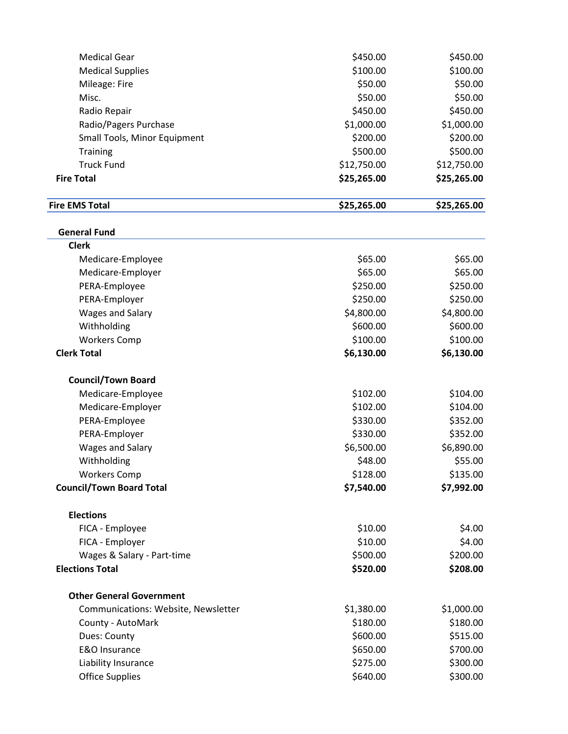| <b>Medical Gear</b>                 | \$450.00    | \$450.00    |
|-------------------------------------|-------------|-------------|
| <b>Medical Supplies</b>             | \$100.00    | \$100.00    |
| Mileage: Fire                       | \$50.00     | \$50.00     |
| Misc.                               | \$50.00     | \$50.00     |
| Radio Repair                        | \$450.00    | \$450.00    |
| Radio/Pagers Purchase               | \$1,000.00  | \$1,000.00  |
| Small Tools, Minor Equipment        | \$200.00    | \$200.00    |
| Training                            | \$500.00    | \$500.00    |
| <b>Truck Fund</b>                   | \$12,750.00 | \$12,750.00 |
| <b>Fire Total</b>                   | \$25,265.00 | \$25,265.00 |
| <b>Fire EMS Total</b>               | \$25,265.00 | \$25,265.00 |
| <b>General Fund</b>                 |             |             |
| <b>Clerk</b>                        |             |             |
| Medicare-Employee                   | \$65.00     | \$65.00     |
| Medicare-Employer                   | \$65.00     | \$65.00     |
| PERA-Employee                       | \$250.00    | \$250.00    |
| PERA-Employer                       | \$250.00    | \$250.00    |
| Wages and Salary                    | \$4,800.00  | \$4,800.00  |
| Withholding                         | \$600.00    | \$600.00    |
| <b>Workers Comp</b>                 | \$100.00    | \$100.00    |
| <b>Clerk Total</b>                  | \$6,130.00  | \$6,130.00  |
| <b>Council/Town Board</b>           |             |             |
| Medicare-Employee                   | \$102.00    | \$104.00    |
| Medicare-Employer                   | \$102.00    | \$104.00    |
| PERA-Employee                       | \$330.00    | \$352.00    |
| PERA-Employer                       | \$330.00    | \$352.00    |
| Wages and Salary                    | \$6,500.00  | \$6,890.00  |
| Withholding                         | \$48.00     | \$55.00     |
| <b>Workers Comp</b>                 | \$128.00    | \$135.00    |
| <b>Council/Town Board Total</b>     | \$7,540.00  | \$7,992.00  |
| <b>Elections</b>                    |             |             |
| FICA - Employee                     | \$10.00     | \$4.00      |
| FICA - Employer                     | \$10.00     | \$4.00      |
| Wages & Salary - Part-time          | \$500.00    | \$200.00    |
| <b>Elections Total</b>              | \$520.00    | \$208.00    |
| <b>Other General Government</b>     |             |             |
| Communications: Website, Newsletter | \$1,380.00  | \$1,000.00  |
| County - AutoMark                   | \$180.00    | \$180.00    |
| Dues: County                        | \$600.00    | \$515.00    |
| E&O Insurance                       | \$650.00    | \$700.00    |
| Liability Insurance                 | \$275.00    | \$300.00    |
| <b>Office Supplies</b>              | \$640.00    | \$300.00    |